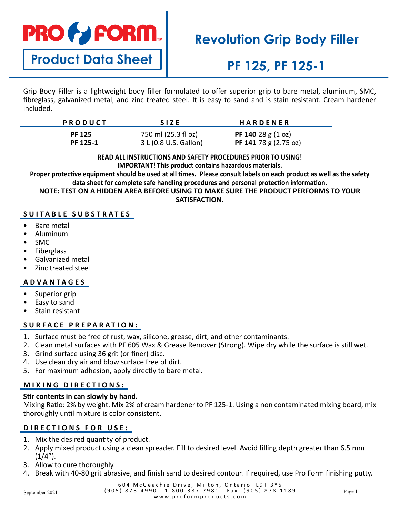# **PRO & FORM.**

**Product Data Sheet**

# **Revolution Grip Body Filler**

# **PF 125, PF 125-1**

Grip Body Filler is a lightweight body filler formulated to offer superior grip to bare metal, aluminum, SMC, fibreglass, galvanized metal, and zinc treated steel. It is easy to sand and is stain resistant. Cream hardener included.

| <b>PRODUCT</b> | <b>SIZE</b>           | HARDENER                            |
|----------------|-----------------------|-------------------------------------|
| <b>PF 125</b>  | 750 ml (25.3 fl oz)   | <b>PF 140</b> 28 g $(1 \text{ oz})$ |
| PF 125-1       | 3 L (0.8 U.S. Gallon) | PF 141 78 g $(2.75 \text{ oz})$     |

#### **READ ALL INSTRUCTIONS AND SAFETY PROCEDURES PRIOR TO USING! IMPORTANT! This product contains hazardous materials.**

**Proper protective equipment should be used at all times. Please consult labels on each product as well as the safety data sheet for complete safe handling procedures and personal protection information.**

**NOTE: TEST ON A HIDDEN AREA BEFORE USING TO MAKE SURE THE PRODUCT PERFORMS TO YOUR SATISFACTION.**

### **SUITABLE SUBSTRATES**

- Bare metal
- Aluminum
- SMC
- **Fiberglass**
- Galvanized metal
- Zinc treated steel

## **ADVANTAGES**

- Superior grip
- Easy to sand
- Stain resistant

### **SURFACE PREPARATION:**

- 1. Surface must be free of rust, wax, silicone, grease, dirt, and other contaminants.
- 2. Clean metal surfaces with PF 605 Wax & Grease Remover (Strong). Wipe dry while the surface is still wet.
- 3. Grind surface using 36 grit (or finer) disc.
- 4. Use clean dry air and blow surface free of dirt.
- 5. For maximum adhesion, apply directly to bare metal.

### **MIXING DIRECTIONS:**

#### **Stir contents in can slowly by hand.**

Mixing Ratio: 2% by weight. Mix 2% of cream hardener to PF 125-1. Using a non contaminated mixing board, mix thoroughly until mixture is color consistent.

## **DIRECTIONS FOR USE:**

- 1. Mix the desired quantity of product.
- 2. Apply mixed product using a clean spreader. Fill to desired level. Avoid filling depth greater than 6.5 mm  $(1/4'')$ .
- 3. Allow to cure thoroughly.
- 4. Break with 40-80 grit abrasive, and finish sand to desired contour. If required, use Pro Form finishing putty.